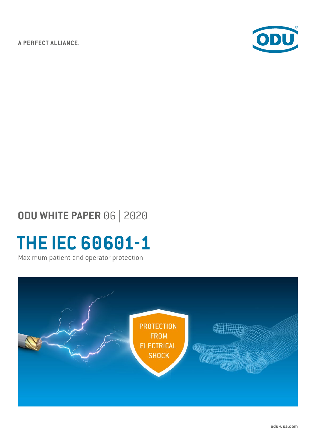A PERFECT ALLIANCE.



## **ODU WHITE PAPER** 06 | 2020

# **THE IEC 60601-1**

Maximum patient and operator protection

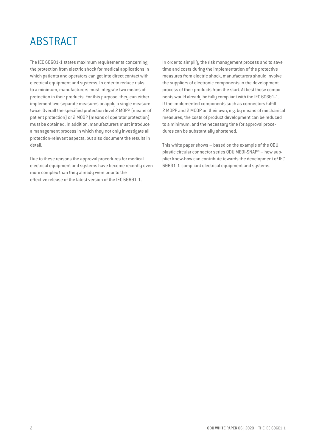## ABSTRACT

The IEC 60601-1 states maximum requirements concerning the protection from electric shock for medical applications in which patients and operators can get into direct contact with electrical equipment and systems. In order to reduce risks to a minimum, manufacturers must integrate two means of protection in their products. For this purpose, they can either implement two separate measures or apply a single measure twice. Overall the specified protection level 2 MOPP (means of patient protection) or 2 MOOP (means of operator protection) must be obtained. In addition, manufacturers must introduce a management process in which they not only investigate all protection-relevant aspects, but also document the results in detail.

Due to these reasons the approval procedures for medical electrical equipment and systems have become recently even more complex than they already were prior to the effective release of the latest version of the IEC 60601-1.

In order to simplify the risk management process and to save time and costs during the implementation of the protective measures from electric shock, manufacturers should involve the suppliers of electronic components in the development process of their products from the start. At best those components would already be fully compliant with the IEC 60601-1. If the implemented components such as connectors fulfill 2 MOPP and 2 MOOP on their own, e.g. by means of mechanical measures, the costs of product development can be reduced to a minimum, and the necessary time for approval procedures can be substantially shortened.

This white paper shows – based on the example of the ODU plastic circular connector series ODU MEDI-SNAP® – how supplier know-how can contribute towards the development of IEC 60601-1-compliant electrical equipment and systems.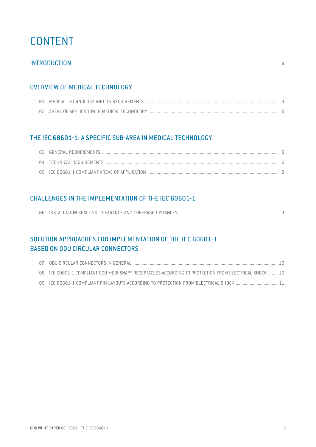## CONTENT

| <b>INTRODUCTION</b> |
|---------------------|
|---------------------|

### OVERVIEW OF MEDICAL TECHNOLOGY

## THE IEC 60601-1: A SPECIFIC SUB-AREA IN MEDICAL TECHNOLOGY

### CHALLENGES IN THE IMPLEMENTATION OF THE IEC 60601-1

## SOLUTION APPROACHES FOR IMPLEMENTATION OF THE IEC 60601-1 BASED ON ODU CIRCULAR CONNECTORS

| 08 IEC 60601-1 COMPLIANT ODU MEDI-SNAP® RECEPTACLES ACCORDING TO PROTECTION FROM ELECTRICAL SHOCK  10 |  |
|-------------------------------------------------------------------------------------------------------|--|
| 09 IEC 60601-1 COMPLIANT PIN LAYOUTS ACCORDING TO PROTECTION FROM ELECTRICAL SHOCK  11                |  |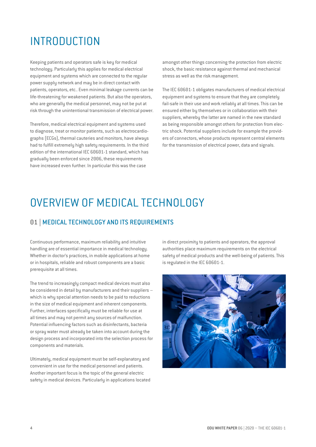## INTRODUCTION

Keeping patients and operators safe is key for medical technology. Particularly this applies for medical electrical equipment and systems which are connected to the regular power supply network and may be in direct contact with patients, operators, etc.. Even minimal leakage currents can be life-threatening for weakened patients. But also the operators, who are generally the medical personnel, may not be put at risk through the unintentional transmission of electrical power.

Therefore, medical electrical equipment and systems used to diagnose, treat or monitor patients, such as electrocardiographs (ECGs), thermal cauteries and monitors, have always had to fulfill extremely high safety requirements. In the third edition of the international IEC 60601-1 standard, which has gradually been enforced since 2006, these requirements have increased even further. In particular this was the case

amongst other things concerning the protection from electric shock, the basic resistance against thermal and mechanical stress as well as the risk management.

The IEC 60601-1 obligates manufacturers of medical electrical equipment and systems to ensure that they are completely fail-safe in their use and work reliably at all times. This can be ensured either by themselves or in collaboration with their suppliers, whereby the latter are named in the new standard as being responsible amongst others for protection from electric shock. Potential suppliers include for example the providers of connectors, whose products represent central elements for the transmission of electrical power, data and signals.

## OVERVIEW OF MEDICAL TECHNOLOGY

### 01 | MEDICAL TECHNOLOGY AND ITS REQUIREMENTS

Continuous performance, maximum reliability and intuitive handling are of essential importance in medical technology. Whether in doctor's practices, in mobile applications at home or in hospitals, reliable and robust components are a basic prerequisite at all times.

The trend to increasingly compact medical devices must also be considered in detail by manufacturers and their suppliers – which is why special attention needs to be paid to reductions in the size of medical equipment and inherent components. Further, interfaces specifically must be reliable for use at all times and may not permit any sources of malfunction. Potential influencing factors such as disinfectants, bacteria or spray water must already be taken into account during the design process and incorporated into the selection process for components and materials.

Ultimately, medical equipment must be self-explanatory and convenient in use for the medical personnel and patients. Another important focus is the topic of the general electric safety in medical devices. Particularly in applications located in direct proximity to patients and operators, the approval authorities place maximum requirements on the electrical safety of medical products and the well-being of patients. This is regulated in the IEC 60601-1.

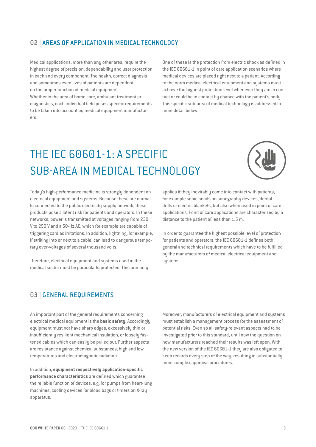### 02 | AREAS OF APPLICATION IN MEDICAL TECHNOLOGY

Medical applications, more than any other area, require the highest degree of precision, dependability and user protection in each and every component. The health, correct diagnosis and sometimes even lives of patients are dependent on the proper function of medical equipment.

Whether in the area of home care, ambulant treatment or diagnostics, each individual field poses specific requirements to be taken into account by medical equipment manufacturers.

One of these is the protection from electric shock as defined in the IEC 60601-1 in point of care application scenarios where medical devices are placed right next to a patient. According to the norm medical electrical equipment and systems must achieve the highest protection level whenever they are in contact or could be in contact by chance with the patient's body. This specific sub-area of medical technology is addressed in more detail below.

## THE IEC 60601-1: A SPECIFIC SUB-AREA IN MEDICAL TECHNOLOGY



Today's high-performance medicine is strongly dependent on electrical equipment and systems. Because these are normally connected to the public electricity supply network, these products pose a latent risk for patients and operators. In these networks, power is transmitted at voltages ranging from 230 V to 250 V and a 50-Hz AC, which for example are capable of triggering cardiac irritations. In addition, lightning, for example, if striking into or next to a cable, can lead to dangerous temporary over-voltages of several thousand volts.

Therefore, electrical equipment and sustems used in the medical sector must be particularly protected. This primarily

applies if they inevitably come into contact with patients, for example sonic heads on sonography devices, dental drills or electric blankets, but also when used in point of care applications. Point of care applications are characterized by a distance to the patient of less than 1.5 m.

In order to guarantee the highest possible level of protection for patients and operators, the IEC 60601-1 defines both general and technical requirements which have to be fulfilled by the manufacturers of medical electrical equipment and sustems.

### 03 | GENERAL REQUIREMENTS

An important part of the general requirements concerning electrical medical equipment is the **basic safety**. Accordingly equipment must not have sharp edges, excessively thin or insufficiently resilient mechanical insulation, or loosely fastened cables which can easily be pulled out. Further aspects are resistance against chemical substances, high and low temperatures and electromagnetic radiation.

In addition, **equipment respectively application-specific performance characteristics** are defined which guarantee the reliable function of devices, e.g. for pumps from heart-lung machines, cooling devices for blood bags or timers on X-ray apparatus.

Moreover, manufacturers of electrical equipment and systems must establish a management process for the assessment of potential risks. Even so all safety-relevant aspects had to be investigated prior to this standard, until now the question on how manufacturers reached their results was left open. With the new version of the IEC 60601-1 they are also obligated to keep records every step of the way, resulting in substantially more complex approval procedures.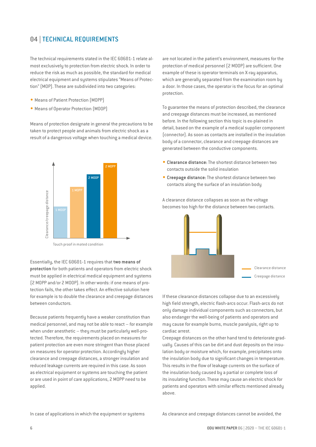## 04 | TECHNICAL REQUIREMENTS

The technical requirements stated in the IEC 60601-1 relate almost exclusively to protection from electric shock. In order to reduce the risk as much as possible, the standard for medical electrical equipment and systems stipulates "Means of Protection" (MOP). These are subdivided into two categories:

- Means of Patient Protection (MOPP)
- Means of Operator Protection (MOOP)

Means of protection designate in general the precautions to be taken to protect people and animals from electric shock as a result of a dangerous voltage when touching a medical device.



Touch proof in mated condition

Essentially, the IEC 60601-1 requires that **two means of protection** for both patients and operators from electric shock must be applied in electrical medical equipment and systems (2 MOPP and/or 2 MOOP). In other words: if one means of protection fails, the other takes effect. An effective solution here for example is to double the clearance and creepage distances between conductors.

Because patients frequently have a weaker constitution than medical personnel, and may not be able to react – for example when under anesthetic – they must be particularly well-protected. Therefore, the requirements placed on measures for patient protection are even more stringent than those placed on measures for operator protection. Accordingly higher clearance and creepage distances, a stronger insulation and reduced leakage currents are required in this case. As soon as electrical equipment or systems are touching the patient or are used in point of care applications, 2 MOPP need to be applied.

are not located in the patient's environment, measures for the protection of medical personnel (2 MOOP) are sufficient. One example of these is operator terminals on X-ray apparatus, which are generally separated from the examination room by a door. In those cases, the operator is the focus for an optimal protection.

To guarantee the means of protection described, the clearance and creepage distances must be increased, as mentioned before. In the following section this topic is ex-plained in detail, based on the example of a medical supplier component (connector). As soon as contacts are installed in the insulation body of a connector, clearance and creepage distances are generated between the conductive components.

- **Clearance distance:** The shortest distance between two contacts outside the solid insulation
- **Creepage distance:** The shortest distance between two contacts along the surface of an insulation body

A clearance distance collapses as soon as the voltage becomes too high for the distance between two contacts.



If these clearance distances collapse due to an excessively high field strength, electric flash-arcs occur. Flash-arcs do not only damage individual components such as connectors, but also endanger the well-being of patients and operators and may cause for example burns, muscle paralysis, right up to cardiac arrest.

Creepage distances on the other hand tend to deteriorate gradually. Causes of this can be dirt and dust deposits on the insulation body or moisture which, for example, precipitates onto the insulation body due to significant changes in temperature. This results in the flow of leakage currents on the surface of the insulation body caused by a partial or complete loss of its insulating function. These may cause an electric shock for patients and operators with similar effects mentioned already above.

As clearance and creepage distances cannot be avoided, the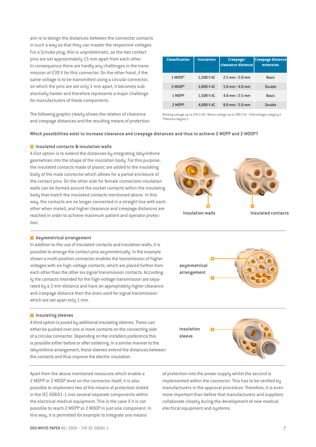aim is to design the distances between the connector contacts in such a way so that they can master the respective voltages. For a Schuko plug, this is unproblematic, as the two contact pins are set approximately 15 mm apart from each other. In consequence there are hardly any challenges in the transmission of 230 V for this connector. On the other hand, if the same voltage is to be transmitted using a circular connector, on which the pins are set only 1 mm apart, it becomes substantially harder and therefore represents a major challenge for manufacturers of these components.

The following graphic clearly shows the relation of clearance and creepage distances and the resulting means of protection. **Classification Insulation Creepage/ clearance distance Creepage distance extension** 1 M00P<sup>1</sup> 1,500 V AC 2.5 mm / 2.0 mm Basic 2 MOOP1 3,000 V AC 5.0 mm / 4.0 mm Double 1 MOPP 1,500 V AC 4.0 mm / 2.5 mm Basic 2 MOPP 4,000 V AC 8.0 mm / 5.0 mm Double

Working voltage up to 250 V eff / Mains voltage up to 300 V AC / Overvoltage category II 1 Pollution degree 2

#### **Which possibilities exist to increase clearance and creepage distances and thus to achieve 2 MOPP and 2 MOOP?**

#### $\Omega$  Insulated contacts & insulation walls

A first option is to extend the distances by integrating labyrinthine geometries into the shape of the insulation body. For this purpose, the insulated contacts made of plastic are added to the insulating body of the male connector which allows for a partial enclosure of the contact pins. On the other side for female connectors insulation walls can be formed around the socket contacts within the insulating body that match the insulated contacts mentioned above. In this way, the contacts are no longer connected in a straight line with each other when mated, and higher clearance and creepage distances are reached in order to achieve maximum patient and operator protection.

#### $\bullet$  Asymmetrical arrangement

In addition to the use of insulated contacts and insulation walls, it is possible to arrange the contact pins asymmetrically. In the example shown a multi-position connector enables the transmission of higher voltages with six high-voltage contacts, which are placed further from each other than the other six signal transmission contacts. Accordingly the contacts intended for the high-voltage transmission are separated by a 3 mm distance and have an appropriately higher clearance and creepage distance then the ones used for signal transmission which are set apart only 1 mm.

#### $\bullet$  Insulating sleeves

A third option is posed by additional insulating sleeves. These can either be pushed over one or more contacts on the connecting side of a circular connector. Depending on the installers preference this is possible either before or after soldering. In a similar manner to the labyrinthine arrangement, these sleeves extend the distances between the contacts and thus improve the electric insulation.

Apart from the above mentioned measures which enable a 2 MOPP or 2 MOOP level on the connector itself, it is also possible to implement two of the means of protection stated in the IEC 60601-1 into several separate components within the electrical medical equipment. This is the case if it is not possible to reach 2 MOPP or 2 MOOP in just one component. In this way, it is permitted for example to integrate one means

**Insulation walls**







of protection into the power supply whilst the second is implemented within the connector. This has to be verified by manufacturers in the approval procedure. Therefore, it is even more important than before that manufacturers and suppliers collaborate closely during the development of new medical electrical equipment and systems.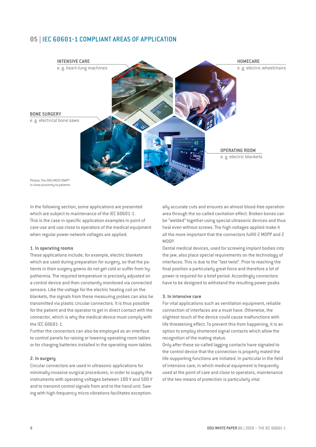### 05 | IEC 60601-1 COMPLIANT AREAS OF APPLICATION



in close proximity to patients

In the following section, some applications are presented which are subject to maintenance of the IEC 60601-1. This is the case in specific application examples in point of care use and use close to operators of the medical equipment when regular power network voltages are applied.

#### **1. In operating rooms**

These applications include, for example, electric blankets which are used during preparation for surgery, so that the patients in their surgery gowns do not get cold or suffer from hypothermia. The required temperature is precisely adjusted on a control device and then constantly monitored via connected sensors. Like the voltage for the electric heating coil on the blankets, the signals from these measuring probes can also be transmitted via plastic circular connectors. It is thus possible for the patient and the operator to get in direct contact with the connector, which is why the medical device must comply with the IEC 60601-1.

Further the connectors can also be employed as an interface to control panels for raising or lowering operating room tables or for charging batteries installed in the operating room tables.

#### **2. In surgery**

Circular connectors are used in ultrasonic applications for minimally-invasive surgical procedures, in order to supply the instruments with operating voltages between 100 V and 500 V and to transmit control signals from and to the hand unit. Sawing with high-frequency micro vibrations facilitates exception-

ally accurate cuts and ensures an almost blood-free operation area through the so-called cavitation effect. Broken bones can be "welded" together using special ultrasonic devices and thus heal even without screws. The high voltages applied make it all the more important that the connectors fulfill 2 MOPP and 2 MOOP.

Dental medical devices, used for screwing implant bodies into the jaw, also place special requirements on the technology of interfaces. This is due to the "last twist". Prior to reaching the final position a particularly great force and therefore a lot of power is required for a brief period. Accordingly connectors have to be designed to withstand the resulting power peaks.

#### **3. In intensive care**

For vital applications such as ventilation equipment, reliable connection of interfaces are a must have. Otherwise, the slightest touch of the device could cause malfunctions with life threatening effect. To prevent this from happening, it is an option to employ shortened signal contacts which allow the recognition of the mating status.

Only after these so-called lagging contacts have signaled to the control device that the connection is properly mated the life-supporting functions are initiated. In particular in the field of intensive care, in which medical equipment is frequently used at the point of care and close to operators, maintenance of the two means of protection is particularly vital.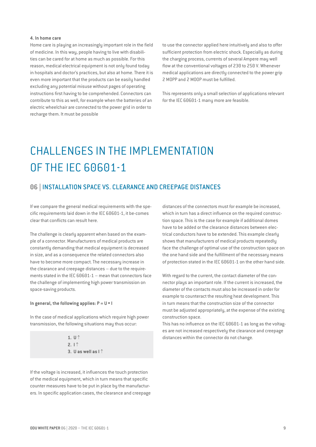#### **4. In home care**

Home care is playing an increasingly important role in the field of medicine. In this way, people having to live with disabilities can be cared for at home as much as possible. For this reason, medical electrical equipment is not only found today in hospitals and doctor's practices, but also at home. There it is even more important that the products can be easily handled excluding any potential misuse without pages of operating instructions first having to be comprehended. Connectors can contribute to this as well, for example when the batteries of an electric wheelchair are connected to the power grid in order to recharge them. It must be possible

to use the connector applied here intuitively and also to offer sufficient protection from electric shock. Especially as during the charging process, currents of several Ampere may well flow at the conventional voltages of 230 to 250 V. Whenever medical applications are directly connected to the power grip 2 MOPP and 2 MOOP must be fulfilled.

This represents only a small selection of applications relevant for the IEC 60601-1 many more are feasible.

## CHALLENGES IN THE IMPLEMENTATION OF THE IEC 60601-1

### 06 | INSTALLATION SPACE VS. CLEARANCE AND CREEPAGE DISTANCES

If we compare the general medical requirements with the specific requirements laid down in the IEC 60601-1, it be-comes clear that conflicts can result here.

The challenge is clearly apparent when based on the example of a connector. Manufacturers of medical products are constantly demanding that medical equipment is decreased in size, and as a consequence the related connectors also have to become more compact. The necessary increase in the clearance and creepage distances – due to the requirements stated in the IEC 60601-1 – mean that connectors face the challenge of implementing high power transmission on space-saving products.

#### **In general, the following applies: P = U \* I**

In the case of medical applications which require high power transmission, the following situations may thus occur:

> **1. U** ↑ **2. I** ↑ **3. U as well as I** ↑

distances of the connectors must for example be increased, which in turn has a direct influence on the required construction space. This is the case for example if additional domes have to be added or the clearance distances between electrical conductors have to be extended. This example clearly shows that manufacturers of medical products repeatedly face the challenge of optimal use of the construction space on the one hand side and the fulfillment of the necessary means of protection stated in the IEC 60601-1 on the other hand side.

With regard to the current, the contact diameter of the connector plays an important role. If the current is increased, the diameter of the contacts must also be increased in order for example to counteract the resulting heat development. This in turn means that the construction size of the connector must be adjusted appropriately, at the expense of the existing construction space.

This has no influence on the IEC 60601-1 as long as the voltages are not increased respectively the clearance and creepage distances within the connector do not change.

If the voltage is increased, it influences the touch protection of the medical equipment, which in turn means that specific counter measures have to be put in place by the manufacturers. In specific application cases, the clearance and creepage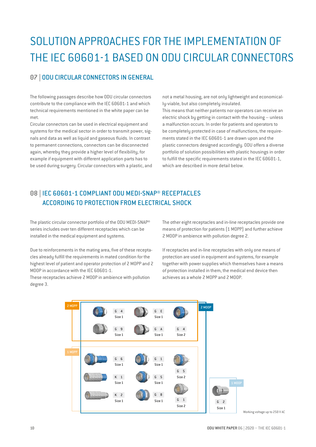## SOLUTION APPROACHES FOR THE IMPLEMENTATION OF THE IEC 60601-1 BASED ON ODU CIRCULAR CONNECTORS

### 07 | ODU CIRCULAR CONNECTORS IN GENERAL

The following passages describe how ODU circular connectors contribute to the compliance with the IEC 60601-1 and which technical requirements mentioned in the white paper can be met.

Circular connectors can be used in electrical equipment and systems for the medical sector in order to transmit power, signals and data as well as liquid and gaseous fluids. In contrast to permanent connections, connectors can be disconnected again, whereby they provide a higher level of flexibility, for example if equipment with different application parts has to be used during surgery. Circular connectors with a plastic, and not a metal housing, are not only lightweight and economically-viable, but also completely insulated.

This means that neither patients nor operators can receive an electric shock by getting in contact with the housing – unless a malfunction occurs. In order for patients and operators to be completely protected in case of malfunctions, the requirements stated in the IEC 60601-1 are drawn upon and the plastic connectors designed accordingly. ODU offers a diverse portfolio of solution possibilities with plastic housings in order to fulfill the specific requirements stated in the IEC 60601-1, which are described in more detail below.

## 08 | IEC 60601-1 COMPLIANT ODU MEDI-SNAP® RECEPTACLES ACCORDING TO PROTECTION FROM ELECTRICAL SHOCK

The plastic circular connector portfolio of the ODU MEDI-SNAP® series includes over ten different receptacles which can be installed in the medical equipment and sustems.

Due to reinforcements in the mating area, five of these receptacles already fulfill the requirements in mated condition for the highest level of patient and operator protection of 2 MOPP and 2 MOOP in accordance with the IEC 60601-1.

These receptacles achieve 2 MOOP in ambience with pollution degree 3.

The other eight receptacles and in-line receptacles provide one means of protection for patients (1 MOPP) and further achieve 2 MOOP in ambience with pollution degree 2.

If receptacles and in-line receptacles with only one means of protection are used in equipment and systems, for example together with power supplies which themselves have a means of protection installed in them, the medical end device then achieves as a whole 2 MOPP and 2 MOOP.



Working voltage up to 250 V AC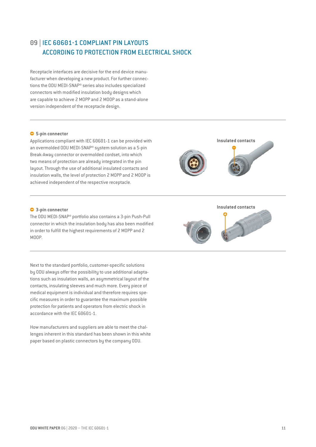## 09 | IEC 60601-1 COMPLIANT PIN LAYOUTS ACCORDING TO PROTECTION FROM ELECTRICAL SHOCK

Receptacle interfaces are decisive for the end device manufacturer when developing a new product. For further connections the ODU MEDI-SNAP® series also includes specialized connectors with modified insulation body designs which are capable to achieve 2 MOPP and 2 MOOP as a stand-alone version independent of the receptacle design.

#### **5-pin connector**

Applications compliant with IEC 60601-1 can be provided with an overmolded ODU MEDI-SNAP® system solution as a 5-pin Break-Away connector or overmolded cordset, into which two means of protection are already integrated in the pin layout. Through the use of additional insulated contacts and insulation walls, the level of protection 2 MOPP and 2 MOOP is achieved independent of the respective receptacle.

#### **3-pin connector**

The ODU MEDI-SNAP® portfolio also contains a 3-pin Push-Pull connector in which the insulation body has also been modified in order to fulfill the highest requirements of 2 MOPP and 2 MOOP.

Next to the standard portfolio, customer-specific solutions by ODU always offer the possibility to use additional adaptations such as insulation walls, an asymmetrical layout of the contacts, insulating sleeves and much more. Every piece of medical equipment is individual and therefore requires specific measures in order to guarantee the maximum possible protection for patients and operators from electric shock in accordance with the IEC 60601-1.

How manufacturers and suppliers are able to meet the challenges inherent in this standard has been shown in this white paper based on plastic connectors by the company ODU.



**Insulated contacts**